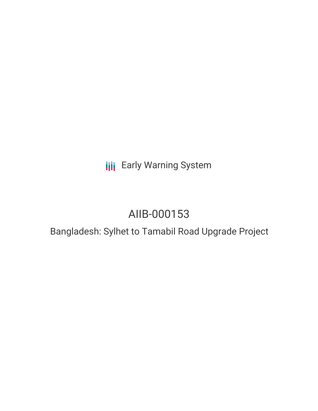## **III** Early Warning System

# AIIB-000153

## Bangladesh: Sylhet to Tamabil Road Upgrade Project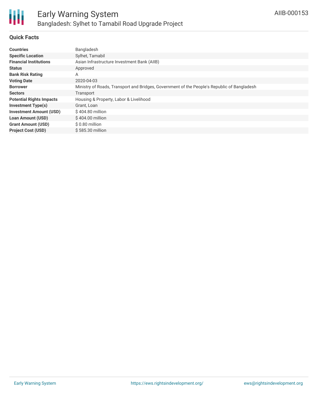

## **Quick Facts**

| <b>Countries</b>                | Bangladesh                                                                                  |
|---------------------------------|---------------------------------------------------------------------------------------------|
| <b>Specific Location</b>        | Sylhet, Tamabil                                                                             |
| <b>Financial Institutions</b>   | Asian Infrastructure Investment Bank (AIIB)                                                 |
| <b>Status</b>                   | Approved                                                                                    |
| <b>Bank Risk Rating</b>         | A                                                                                           |
| <b>Voting Date</b>              | 2020-04-03                                                                                  |
| <b>Borrower</b>                 | Ministry of Roads, Transport and Bridges, Government of the People's Republic of Bangladesh |
| <b>Sectors</b>                  | Transport                                                                                   |
| <b>Potential Rights Impacts</b> | Housing & Property, Labor & Livelihood                                                      |
| <b>Investment Type(s)</b>       | Grant, Loan                                                                                 |
| <b>Investment Amount (USD)</b>  | \$404.80 million                                                                            |
| <b>Loan Amount (USD)</b>        | $$404.00$ million                                                                           |
| <b>Grant Amount (USD)</b>       | \$0.80 million                                                                              |
| <b>Project Cost (USD)</b>       | \$585.30 million                                                                            |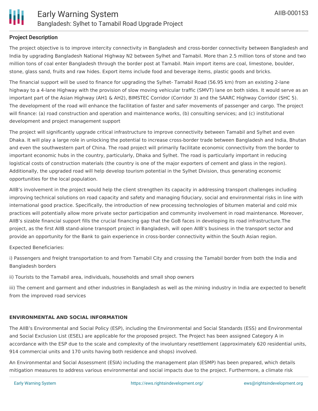## **Project Description**

The project objective is to improve intercity connectivity in Bangladesh and cross-border connectivity between Bangladesh and India by upgrading Bangladesh National Highway N2 between Sylhet and Tamabil. More than 2.5 million tons of stone and two million tons of coal enter Bangladesh through the border post at Tamabil. Main import items are coal, limestone, boulder, stone, glass sand, fruits and raw hides. Export items include food and beverage items, plastic goods and bricks.

The financial support will be used to finance for upgrading the Sylhet- Tamabil Road (56.95 km) from an existing 2-lane highway to a 4-lane Highway with the provision of slow moving vehicular traffic (SMVT) lane on both sides. It would serve as an important part of the Asian Highway (AH1 & AH2), BIMSTEC Corridor (Corridor 3) and the SAARC Highway Corridor (SHC 5). The development of the road will enhance the facilitation of faster and safer movements of passenger and cargo. The project will finance: (a) road construction and operation and maintenance works, (b) consulting services; and (c) institutional development and project management support

The project will significantly upgrade critical infrastructure to improve connectivity between Tamabil and Sylhet and even Dhaka. It will play a large role in unlocking the potential to increase cross-border trade between Bangladesh and India, Bhutan and even the southwestern part of China. The road project will primarily facilitate economic connectivity from the border to important economic hubs in the country, particularly, Dhaka and Sylhet. The road is particularly important in reducing logistical costs of construction materials (the country is one of the major exporters of cement and glass in the region). Additionally, the upgraded road will help develop tourism potential in the Sylhet Division, thus generating economic opportunities for the local population.

AIIB's involvement in the project would help the client strengthen its capacity in addressing transport challenges including improving technical solutions on road capacity and safety and managing fiduciary, social and environmental risks in line with international good practice. Specifically, the introduction of new processing technologies of bitumen material and cold mix practices will potentially allow more private sector participation and community involvement in road maintenance. Moreover, AIIB's sizable financial support fills the crucial financing gap that the GoB faces in developing its road infrastructure.The project, as the first AIIB stand-alone transport project in Bangladesh, will open AIIB's business in the transport sector and provide an opportunity for the Bank to gain experience in cross-border connectivity within the South Asian region.

Expected Beneficiaries:

i) Passengers and freight transportation to and from Tamabil City and crossing the Tamabil border from both the India and Bangladesh borders

ii) Tourists to the Tamabil area, individuals, households and small shop owners

iii) The cement and garment and other industries in Bangladesh as well as the mining industry in India are expected to benefit from the improved road services

## **ENVIRONMENTAL AND SOCIAL INFORMATION**

The AIIB's Environmental and Social Policy (ESP), including the Environmental and Social Standards (ESS) and Environmental and Social Exclusion List (ESEL) are applicable for the proposed project. The Project has been assigned Category A in accordance with the ESP due to the scale and complexity of the involuntary resettlement (approximately 620 residential units, 914 commercial units and 170 units having both residence and shops) involved.

An Environmental and Social Assessment (ESIA) including the management plan (ESMP) has been prepared, which details mitigation measures to address various environmental and social impacts due to the project. Furthermore, a climate risk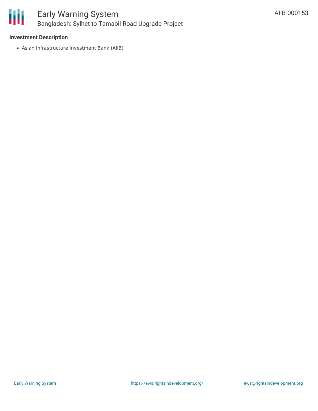

## **Investment Description**

Asian Infrastructure Investment Bank (AIIB)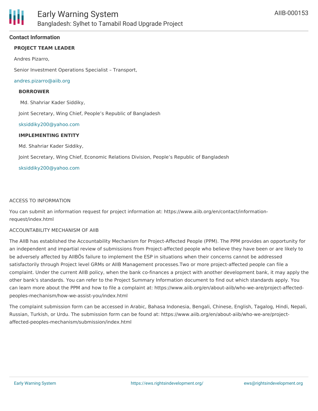### **Contact Information**

## **PROJECT TEAM LEADER**

Andres Pizarro,

Senior Investment Operations Specialist – Transport,

#### [andres.pizarro@aiib.org](mailto:andres.pizarro@aiib.org)

#### **BORROWER**

Md. Shahriar Kader Siddiky,

Joint Secretary, Wing Chief, People's Republic of Bangladesh

#### [sksiddiky200@yahoo.com](mailto:sksiddiky200@yahoo.com)

#### **IMPLEMENTING ENTITY**

Md. Shahriar Kader Siddiky,

Joint Secretary, Wing Chief, Economic Relations Division, People's Republic of Bangladesh

#### [sksiddiky200@yahoo.com](mailto:sksiddiky200@yahoo.com)

#### ACCESS TO INFORMATION

You can submit an information request for project information at: https://www.aiib.org/en/contact/informationrequest/index.html

#### ACCOUNTABILITY MECHANISM OF AIIB

The AIIB has established the Accountability Mechanism for Project-Affected People (PPM). The PPM provides an opportunity for an independent and impartial review of submissions from Project-affected people who believe they have been or are likely to be adversely affected by AIIBÕs failure to implement the ESP in situations when their concerns cannot be addressed satisfactorily through Project level GRMs or AIIB Management processes.Two or more project-affected people can file a complaint. Under the current AIIB policy, when the bank co-finances a project with another development bank, it may apply the other bank's standards. You can refer to the Project Summary Information document to find out which standards apply. You can learn more about the PPM and how to file a complaint at: https://www.aiib.org/en/about-aiib/who-we-are/project-affectedpeoples-mechanism/how-we-assist-you/index.html

The complaint submission form can be accessed in Arabic, Bahasa Indonesia, Bengali, Chinese, English, Tagalog, Hindi, Nepali, Russian, Turkish, or Urdu. The submission form can be found at: https://www.aiib.org/en/about-aiib/who-we-are/projectaffected-peoples-mechanism/submission/index.html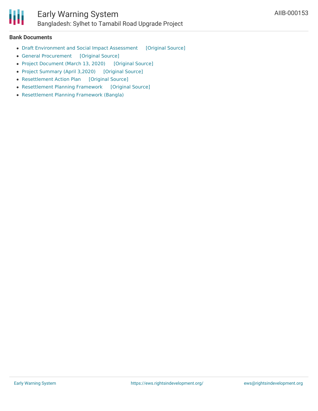

#### **Bank Documents**

- Draft [Environment](https://ewsdata.rightsindevelopment.org/files/documents/53/AIIB-000153_DxPYWiI.pdf) and Social Impact Assessment [\[Original](https://www.aiib.org/en/projects/details/2020/approved/_download/Bangladesh/ESIA-Sylhet-Tamabil-Road-Up-gradation-Corrected.pdf) Source]
- General [Procurement](https://ewsdata.rightsindevelopment.org/files/documents/53/AIIB-000153_IybYjHW.pdf) [\[Original](https://www.aiib.org/en/opportunities/business/project-procurement/_download/bangladesh/General-Procurement-Notice_final.pdf) Source]
- Project [Document](https://ewsdata.rightsindevelopment.org/files/documents/53/AIIB-000153_VPtfSyR.pdf) (March 13, 2020) [\[Original](https://www.aiib.org/en/projects/details/2020/approved/_download/Bangladesh/20200402-P000153-Sylhet-Tamabil-Road-Upgrade-Published-Document.pdf) Source]
- Project [Summary](https://ewsdata.rightsindevelopment.org/files/documents/53/AIIB-000153.pdf) (April 3,2020) [\[Original](https://www.aiib.org/en/projects/details/2020/approved/_download/Bangladesh/PSI-P000153-Bangladesh-Sylhet-Tamabil-Road-Post-Approval-PSI-April-3-2020.pdf) Source]
- [Resettlement](https://ewsdata.rightsindevelopment.org/files/documents/53/AIIB-000153_ELocuAC.pdf) Action Plan [\[Original](https://www.aiib.org/en/projects/details/2020/approved/_download/Bangladesh/Final-RAP-Sylhet-Tamabil-March2020.pdf) Source]
- [Resettlement](https://ewsdata.rightsindevelopment.org/files/documents/53/AIIB-000153_09Z7qq4.pdf) Planning Framework [\[Original](https://www.aiib.org/en/projects/details/2020/approved/_download/Bangladesh/Resettlement-Planning-Framework-converted.pdf) Source]
- [Resettlement](https://ewsdata.rightsindevelopment.org/files/documents/53/AIIB-000153_Nufgwa1.pdf) Planning Framework (Bangla)